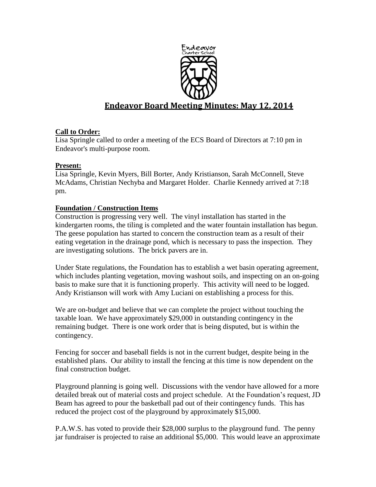

# **Endeavor Board Meeting Minutes: May 12, 2014**

# **Call to Order:**

Lisa Springle called to order a meeting of the ECS Board of Directors at 7:10 pm in Endeavor's multi-purpose room.

# **Present:**

Lisa Springle, Kevin Myers, Bill Borter, Andy Kristianson, Sarah McConnell, Steve McAdams, Christian Nechyba and Margaret Holder. Charlie Kennedy arrived at 7:18 pm.

# **Foundation / Construction Items**

Construction is progressing very well. The vinyl installation has started in the kindergarten rooms, the tiling is completed and the water fountain installation has begun. The geese population has started to concern the construction team as a result of their eating vegetation in the drainage pond, which is necessary to pass the inspection. They are investigating solutions. The brick pavers are in.

Under State regulations, the Foundation has to establish a wet basin operating agreement, which includes planting vegetation, moving washout soils, and inspecting on an on-going basis to make sure that it is functioning properly. This activity will need to be logged. Andy Kristianson will work with Amy Luciani on establishing a process for this.

We are on-budget and believe that we can complete the project without touching the taxable loan. We have approximately \$29,000 in outstanding contingency in the remaining budget. There is one work order that is being disputed, but is within the contingency.

Fencing for soccer and baseball fields is not in the current budget, despite being in the established plans. Our ability to install the fencing at this time is now dependent on the final construction budget.

Playground planning is going well. Discussions with the vendor have allowed for a more detailed break out of material costs and project schedule. At the Foundation's request, JD Beam has agreed to pour the basketball pad out of their contingency funds. This has reduced the project cost of the playground by approximately \$15,000.

P.A.W.S. has voted to provide their \$28,000 surplus to the playground fund. The penny jar fundraiser is projected to raise an additional \$5,000. This would leave an approximate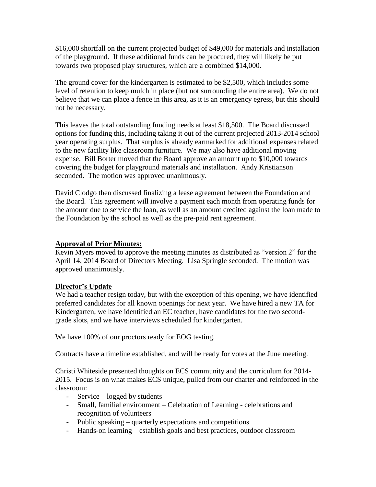\$16,000 shortfall on the current projected budget of \$49,000 for materials and installation of the playground. If these additional funds can be procured, they will likely be put towards two proposed play structures, which are a combined \$14,000.

The ground cover for the kindergarten is estimated to be \$2,500, which includes some level of retention to keep mulch in place (but not surrounding the entire area). We do not believe that we can place a fence in this area, as it is an emergency egress, but this should not be necessary.

This leaves the total outstanding funding needs at least \$18,500. The Board discussed options for funding this, including taking it out of the current projected 2013-2014 school year operating surplus. That surplus is already earmarked for additional expenses related to the new facility like classroom furniture. We may also have additional moving expense. Bill Borter moved that the Board approve an amount up to \$10,000 towards covering the budget for playground materials and installation. Andy Kristianson seconded. The motion was approved unanimously.

David Clodgo then discussed finalizing a lease agreement between the Foundation and the Board. This agreement will involve a payment each month from operating funds for the amount due to service the loan, as well as an amount credited against the loan made to the Foundation by the school as well as the pre-paid rent agreement.

# **Approval of Prior Minutes:**

Kevin Myers moved to approve the meeting minutes as distributed as "version 2" for the April 14, 2014 Board of Directors Meeting. Lisa Springle seconded. The motion was approved unanimously.

#### **Director's Update**

We had a teacher resign today, but with the exception of this opening, we have identified preferred candidates for all known openings for next year. We have hired a new TA for Kindergarten, we have identified an EC teacher, have candidates for the two secondgrade slots, and we have interviews scheduled for kindergarten.

We have 100% of our proctors ready for EOG testing.

Contracts have a timeline established, and will be ready for votes at the June meeting.

Christi Whiteside presented thoughts on ECS community and the curriculum for 2014- 2015. Focus is on what makes ECS unique, pulled from our charter and reinforced in the classroom:

- Service logged by students
- Small, familial environment Celebration of Learning celebrations and recognition of volunteers
- Public speaking quarterly expectations and competitions
- Hands-on learning establish goals and best practices, outdoor classroom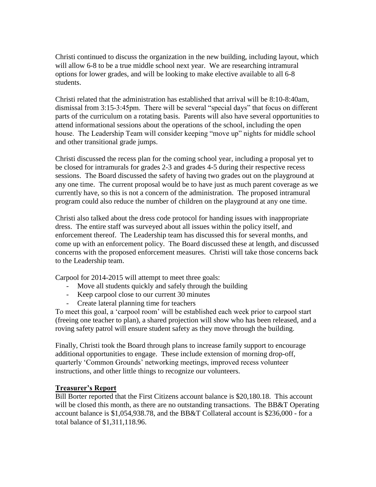Christi continued to discuss the organization in the new building, including layout, which will allow 6-8 to be a true middle school next year. We are researching intramural options for lower grades, and will be looking to make elective available to all 6-8 students.

Christi related that the administration has established that arrival will be 8:10-8:40am, dismissal from 3:15-3:45pm. There will be several "special days" that focus on different parts of the curriculum on a rotating basis. Parents will also have several opportunities to attend informational sessions about the operations of the school, including the open house. The Leadership Team will consider keeping "move up" nights for middle school and other transitional grade jumps.

Christi discussed the recess plan for the coming school year, including a proposal yet to be closed for intramurals for grades 2-3 and grades 4-5 during their respective recess sessions. The Board discussed the safety of having two grades out on the playground at any one time. The current proposal would be to have just as much parent coverage as we currently have, so this is not a concern of the administration. The proposed intramural program could also reduce the number of children on the playground at any one time.

Christi also talked about the dress code protocol for handing issues with inappropriate dress. The entire staff was surveyed about all issues within the policy itself, and enforcement thereof. The Leadership team has discussed this for several months, and come up with an enforcement policy. The Board discussed these at length, and discussed concerns with the proposed enforcement measures. Christi will take those concerns back to the Leadership team.

Carpool for 2014-2015 will attempt to meet three goals:

- Move all students quickly and safely through the building
- Keep carpool close to our current 30 minutes
- Create lateral planning time for teachers

To meet this goal, a "carpool room" will be established each week prior to carpool start (freeing one teacher to plan), a shared projection will show who has been released, and a roving safety patrol will ensure student safety as they move through the building.

Finally, Christi took the Board through plans to increase family support to encourage additional opportunities to engage. These include extension of morning drop-off, quarterly "Common Grounds" networking meetings, improved recess volunteer instructions, and other little things to recognize our volunteers.

# **Treasurer's Report**

Bill Borter reported that the First Citizens account balance is \$20,180.18. This account will be closed this month, as there are no outstanding transactions. The BB&T Operating account balance is \$1,054,938.78, and the BB&T Collateral account is \$236,000 - for a total balance of \$1,311,118.96.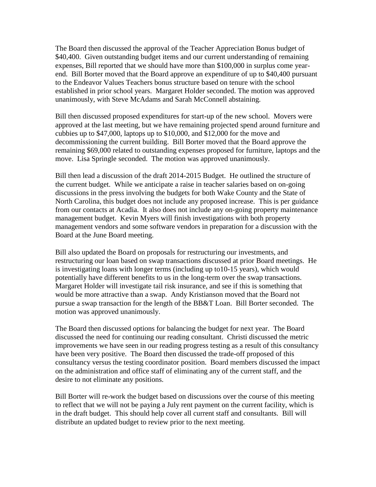The Board then discussed the approval of the Teacher Appreciation Bonus budget of \$40,400. Given outstanding budget items and our current understanding of remaining expenses, Bill reported that we should have more than \$100,000 in surplus come yearend. Bill Borter moved that the Board approve an expenditure of up to \$40,400 pursuant to the Endeavor Values Teachers bonus structure based on tenure with the school established in prior school years. Margaret Holder seconded. The motion was approved unanimously, with Steve McAdams and Sarah McConnell abstaining.

Bill then discussed proposed expenditures for start-up of the new school. Movers were approved at the last meeting, but we have remaining projected spend around furniture and cubbies up to \$47,000, laptops up to \$10,000, and \$12,000 for the move and decommissioning the current building. Bill Borter moved that the Board approve the remaining \$69,000 related to outstanding expenses proposed for furniture, laptops and the move. Lisa Springle seconded. The motion was approved unanimously.

Bill then lead a discussion of the draft 2014-2015 Budget. He outlined the structure of the current budget. While we anticipate a raise in teacher salaries based on on-going discussions in the press involving the budgets for both Wake County and the State of North Carolina, this budget does not include any proposed increase. This is per guidance from our contacts at Acadia. It also does not include any on-going property maintenance management budget. Kevin Myers will finish investigations with both property management vendors and some software vendors in preparation for a discussion with the Board at the June Board meeting.

Bill also updated the Board on proposals for restructuring our investments, and restructuring our loan based on swap transactions discussed at prior Board meetings. He is investigating loans with longer terms (including up to10-15 years), which would potentially have different benefits to us in the long-term over the swap transactions. Margaret Holder will investigate tail risk insurance, and see if this is something that would be more attractive than a swap. Andy Kristianson moved that the Board not pursue a swap transaction for the length of the BB&T Loan. Bill Borter seconded. The motion was approved unanimously.

The Board then discussed options for balancing the budget for next year. The Board discussed the need for continuing our reading consultant. Christi discussed the metric improvements we have seen in our reading progress testing as a result of this consultancy have been very positive. The Board then discussed the trade-off proposed of this consultancy versus the testing coordinator position. Board members discussed the impact on the administration and office staff of eliminating any of the current staff, and the desire to not eliminate any positions.

Bill Borter will re-work the budget based on discussions over the course of this meeting to reflect that we will not be paying a July rent payment on the current facility, which is in the draft budget. This should help cover all current staff and consultants. Bill will distribute an updated budget to review prior to the next meeting.